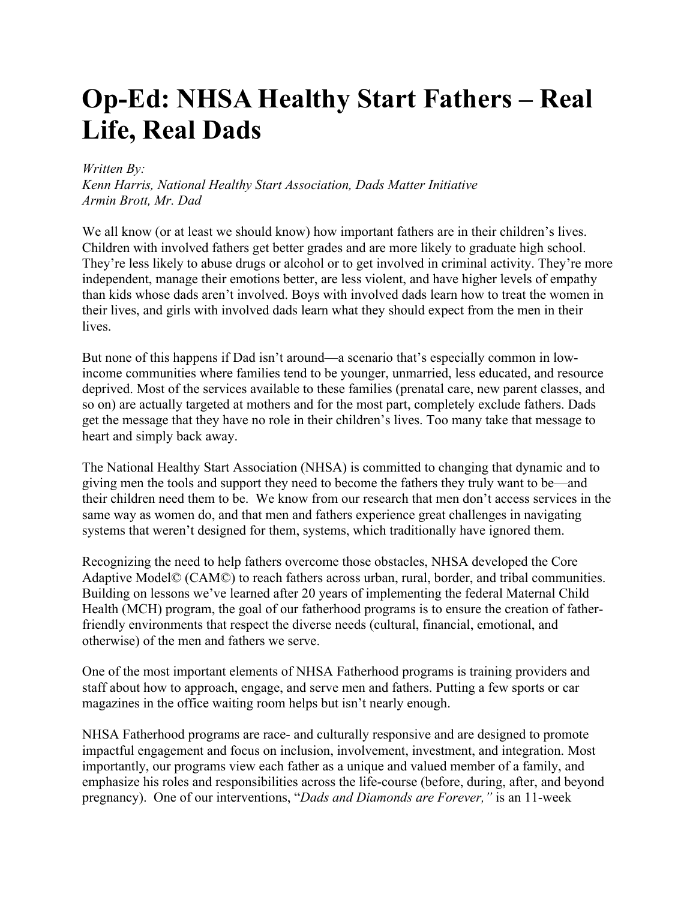## **Op-Ed: NHSA Healthy Start Fathers – Real Life, Real Dads**

## *Written By:*

*Kenn Harris, National Healthy Start Association, Dads Matter Initiative Armin Brott, Mr. Dad*

We all know (or at least we should know) how important fathers are in their children's lives. Children with involved fathers get better grades and are more likely to graduate high school. They're less likely to abuse drugs or alcohol or to get involved in criminal activity. They're more independent, manage their emotions better, are less violent, and have higher levels of empathy than kids whose dads aren't involved. Boys with involved dads learn how to treat the women in their lives, and girls with involved dads learn what they should expect from the men in their lives.

But none of this happens if Dad isn't around—a scenario that's especially common in lowincome communities where families tend to be younger, unmarried, less educated, and resource deprived. Most of the services available to these families (prenatal care, new parent classes, and so on) are actually targeted at mothers and for the most part, completely exclude fathers. Dads get the message that they have no role in their children's lives. Too many take that message to heart and simply back away.

The National Healthy Start Association (NHSA) is committed to changing that dynamic and to giving men the tools and support they need to become the fathers they truly want to be—and their children need them to be. We know from our research that men don't access services in the same way as women do, and that men and fathers experience great challenges in navigating systems that weren't designed for them, systems, which traditionally have ignored them.

Recognizing the need to help fathers overcome those obstacles, NHSA developed the Core Adaptive Model© (CAM©) to reach fathers across urban, rural, border, and tribal communities. Building on lessons we've learned after 20 years of implementing the federal Maternal Child Health (MCH) program, the goal of our fatherhood programs is to ensure the creation of fatherfriendly environments that respect the diverse needs (cultural, financial, emotional, and otherwise) of the men and fathers we serve.

One of the most important elements of NHSA Fatherhood programs is training providers and staff about how to approach, engage, and serve men and fathers. Putting a few sports or car magazines in the office waiting room helps but isn't nearly enough.

NHSA Fatherhood programs are race- and culturally responsive and are designed to promote impactful engagement and focus on inclusion, involvement, investment, and integration. Most importantly, our programs view each father as a unique and valued member of a family, and emphasize his roles and responsibilities across the life-course (before, during, after, and beyond pregnancy). One of our interventions, "*Dads and Diamonds are Forever,"* is an 11-week